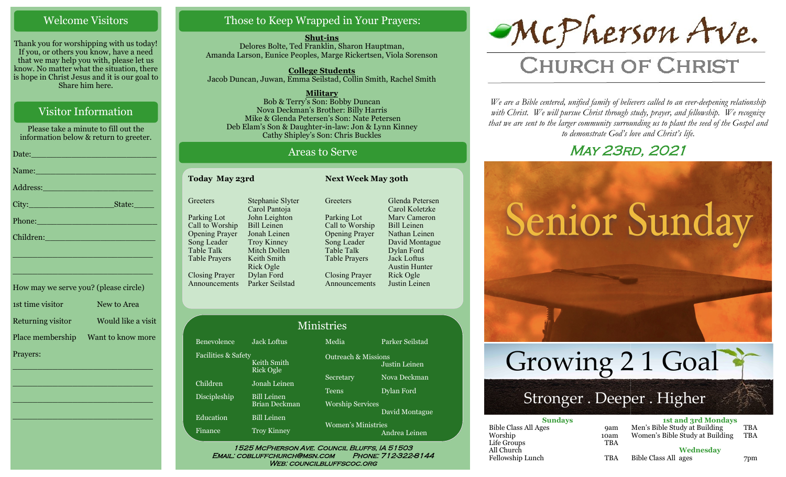## Welcome Visitors

Thank you for worshipping with us today! If you, or others you know, have a need that we may help you with, please let us know. No matter what the situation, there is hope in Christ Jesus and it is our goal to Share him here.

## Visitor Information

Please take a minute to fill out the information below & return to greeter.

| Date: 2008 - 2008 - 2010 - 2010 - 2010 - 2011 - 2012 - 2012 - 2012 - 2012 - 2012 - 2012 - 2012 - 2013               |
|---------------------------------------------------------------------------------------------------------------------|
| Name: Name and the second contract of the second contract of the second contract of the second contract of the      |
| Address: 2008 - 2008 - 2010 - 2010 - 2010 - 2010 - 2010 - 2010 - 2010 - 2010 - 2010 - 2010 - 2010 - 2010 - 20       |
| State:                                                                                                              |
| Phone: 2008 - 2008 - 2008 - 2019 - 2019 - 2019 - 2019 - 2019 - 2019 - 2019 - 2019 - 2019 - 2019 - 2019 - 2019       |
| Children: New York Children:                                                                                        |
| <u> 1989 - Johann John Stein, marwolaethau (b. 1989)</u>                                                            |
| <u> 1989 - Johann John Stone, mensk politik en oantal fan it ferstjer fan de oarste fan it ferstjer fan de oars</u> |
|                                                                                                                     |

| How may we serve you? (please circle) |                    |
|---------------------------------------|--------------------|
| 1st time visitor                      | New to Area        |
| Returning visitor                     | Would like a visit |
| Place membership                      | Want to know more  |
| Prayers:                              |                    |

\_\_\_\_\_\_\_\_\_\_\_\_\_\_\_\_\_\_\_\_\_\_\_\_\_\_\_\_

 $\overline{\phantom{a}}$  , and the set of the set of the set of the set of the set of the set of the set of the set of the set of the set of the set of the set of the set of the set of the set of the set of the set of the set of the s

 $\overline{\phantom{a}}$  , and the set of the set of the set of the set of the set of the set of the set of the set of the set of the set of the set of the set of the set of the set of the set of the set of the set of the set of the s

\_\_\_\_\_\_\_\_\_\_\_\_\_\_\_\_\_\_\_\_\_\_\_\_\_\_\_\_

# Those to Keep Wrapped in Your Prayers:

**Shut-ins** Delores Bolte, Ted Franklin, Sharon Hauptman, Amanda Larson, Eunice Peoples, Marge Rickertsen, Viola Sorenson

**College Students**  Jacob Duncan, Juwan, Emma Seilstad, Collin Smith, Rachel Smith

**Military** Bob & Terry's Son: Bobby Duncan Nova Deckman's Brother: Billy Harris Mike & Glenda Petersen's Son: Nate Petersen Deb Elam's Son & Daughter-in-law: Jon & Lynn Kinney Cathy Shipley's Son: Chris Buckles

### Areas to Serve

| Today May 23rd                                                                                               |                                                                                                                       | <b>Next Week May 30th</b>                                                                                           |                                                                                                                            |  |
|--------------------------------------------------------------------------------------------------------------|-----------------------------------------------------------------------------------------------------------------------|---------------------------------------------------------------------------------------------------------------------|----------------------------------------------------------------------------------------------------------------------------|--|
| Greeters                                                                                                     | Stephanie Slyter<br>Carol Pantoja                                                                                     | Greeters                                                                                                            | Glenda Petersen<br>Carol Koletzke                                                                                          |  |
| Parking Lot<br>Call to Worship<br><b>Opening Prayer</b><br>Song Leader<br>Table Talk<br><b>Table Prayers</b> | John Leighton<br><b>Bill Leinen</b><br>Jonah Leinen<br><b>Troy Kinney</b><br>Mitch Dollen<br>Keith Smith<br>Rick Ogle | Parking Lot<br>Call to Worship<br><b>Opening Prayer</b><br>Song Leader<br><b>Table Talk</b><br><b>Table Prayers</b> | Mary Cameron<br><b>Bill Leinen</b><br>Nathan Leinen<br>David Montague<br>Dylan Ford<br>Jack Loftus<br><b>Austin Hunter</b> |  |
| Closing Prayer<br>Announcements                                                                              | Dylan Ford<br>Parker Seilstad                                                                                         | Closing Prayer<br>Announcements                                                                                     | Rick Ogle<br>Justin Leinen                                                                                                 |  |

|                                |                                 | <b>Ministries</b>              |                 |
|--------------------------------|---------------------------------|--------------------------------|-----------------|
| Benevolence                    | <b>Jack Loftus</b>              | Media                          | Parker Seilstad |
| <b>Facilities &amp; Safety</b> | Keith Smith<br><b>Rick Ogle</b> | <b>Outreach &amp; Missions</b> | Justin Leinen   |
| Children                       | Jonah Leinen                    | Secretary                      | Nova Deckman    |
| Discipleship                   | <b>Bill Leinen</b>              | Teens                          | Dylan Ford      |
|                                | <b>Brian Deckman</b>            | <b>Worship Services</b>        | David Montague  |
| Education                      | <b>Bill Leinen</b>              |                                |                 |
| Finance                        | <b>Troy Kinney</b>              | <b>Women's Ministries</b>      | Andrea Leinen   |

WEB: COUNCILBLUFFSCOC.ORG

McPherson Ave.

# **CHURCH OF CHRIST**

*We are a Bible centered, unified family of believers called to an ever-deepening relationship*  with Christ. We will pursue Christ through study, prayer, and fellowship. We recognize *that we are sent to the larger community surrounding us to plant the seed of the Gospel and to demonstrate God's love and Christ's life.*

# May 23rd, 2021



| Men's Bible Study at Building   | 'TBA      |
|---------------------------------|-----------|
| Women's Bible Study at Building | TBA       |
|                                 |           |
|                                 |           |
| Bible Class All ages            | 7pm       |
|                                 | Wednesday |

Life Groups All Church Fellowship Lunch